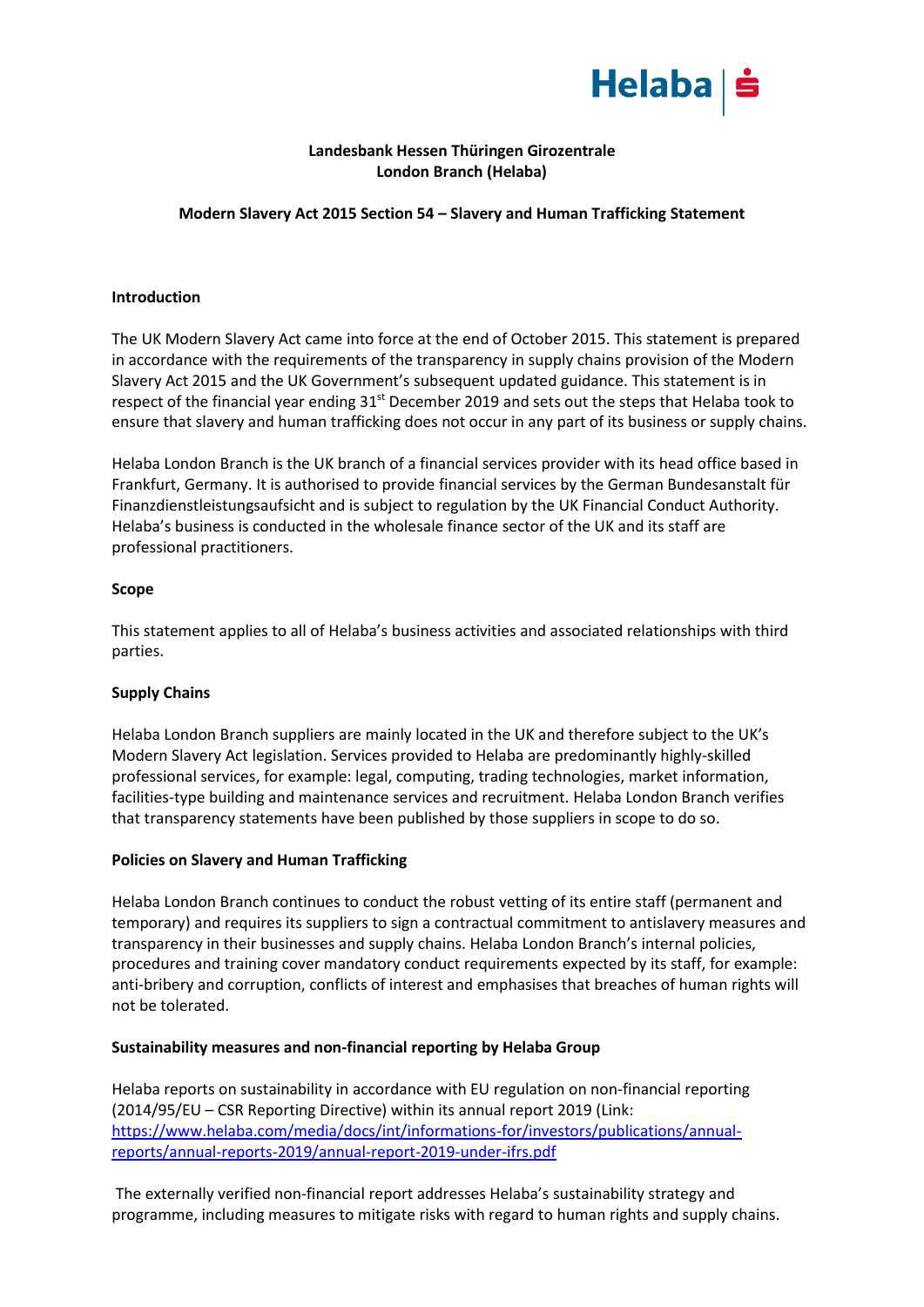

# **Landesbank Hessen Thüringen Girozentrale London Branch (Helaba)**

# **Modern Slavery Act 2015 Section 54 – Slavery and Human Trafficking Statement**

### **Introduction**

The UK Modern Slavery Act came into force at the end of October 2015. This statement is prepared in accordance with the requirements of the transparency in supply chains provision of the Modern Slavery Act 2015 and the UK Government's subsequent updated guidance. This statement is in respect of the financial year ending 31<sup>st</sup> December 2019 and sets out the steps that Helaba took to ensure that slavery and human trafficking does not occur in any part of its business or supply chains.

Helaba London Branch is the UK branch of a financial services provider with its head office based in Frankfurt, Germany. It is authorised to provide financial services by the German Bundesanstalt für Finanzdienstleistungsaufsicht and is subject to regulation by the UK Financial Conduct Authority. Helaba's business is conducted in the wholesale finance sector of the UK and its staff are professional practitioners.

### **Scope**

This statement applies to all of Helaba's business activities and associated relationships with third parties.

### **Supply Chains**

Helaba London Branch suppliers are mainly located in the UK and therefore subject to the UK's Modern Slavery Act legislation. Services provided to Helaba are predominantly highly-skilled professional services, for example: legal, computing, trading technologies, market information, facilities-type building and maintenance services and recruitment. Helaba London Branch verifies that transparency statements have been published by those suppliers in scope to do so.

### **Policies on Slavery and Human Trafficking**

Helaba London Branch continues to conduct the robust vetting of its entire staff (permanent and temporary) and requires its suppliers to sign a contractual commitment to antislavery measures and transparency in their businesses and supply chains. Helaba London Branch's internal policies, procedures and training cover mandatory conduct requirements expected by its staff, for example: anti-bribery and corruption, conflicts of interest and emphasises that breaches of human rights will not be tolerated.

### **Sustainability measures and non-financial reporting by Helaba Group**

Helaba reports on sustainability in accordance with EU regulation on non-financial reporting (2014/95/EU – CSR Reporting Directive) within its annual report 2019 (Link: [https://www.helaba.com/media/docs/int/informations-for/investors/publications/annual](https://www.helaba.com/media/docs/int/informations-for/investors/publications/annual-reports/annual-reports-2019/annual-report-2019-under-ifrs.pdf)[reports/annual-reports-2019/annual-report-2019-under-ifrs.pdf](https://www.helaba.com/media/docs/int/informations-for/investors/publications/annual-reports/annual-reports-2019/annual-report-2019-under-ifrs.pdf)

The externally verified non-financial report addresses Helaba's sustainability strategy and programme, including measures to mitigate risks with regard to human rights and supply chains.